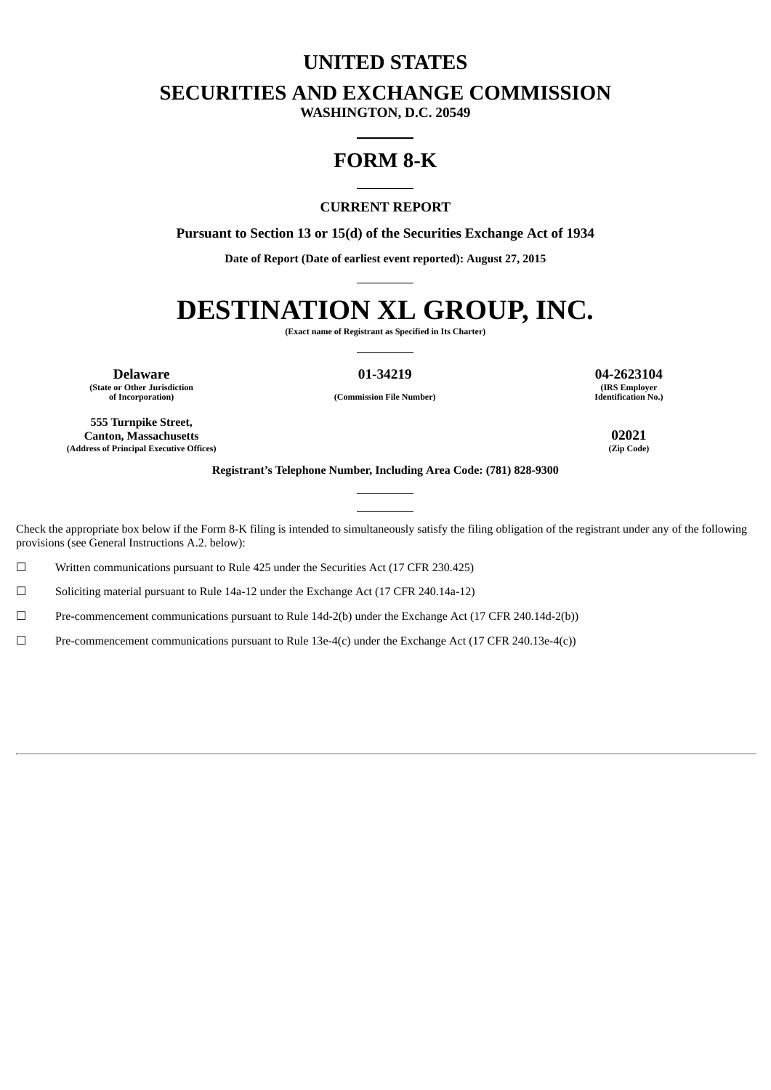# **UNITED STATES**

**SECURITIES AND EXCHANGE COMMISSION**

**WASHINGTON, D.C. 20549**

# **FORM 8-K**

## **CURRENT REPORT**

**Pursuant to Section 13 or 15(d) of the Securities Exchange Act of 1934**

**Date of Report (Date of earliest event reported): August 27, 2015**

# **DESTINATION XL GROUP, INC.**

**(Exact name of Registrant as Specified in Its Charter)**

**Delaware 01-34219 04-2623104 (State or Other Jurisdiction**

**(IRS Employer Identification No.)**

**of Incorporation) (Commission File Number)**

**555 Turnpike Street, Canton, Massachusetts 02021 (Address of Principal Executive Offices) (Zip Code)**

**Registrant's Telephone Number, Including Area Code: (781) 828-9300**

Check the appropriate box below if the Form 8-K filing is intended to simultaneously satisfy the filing obligation of the registrant under any of the following provisions (see General Instructions A.2. below):

 $\Box$  Written communications pursuant to Rule 425 under the Securities Act (17 CFR 230.425)

☐ Soliciting material pursuant to Rule 14a-12 under the Exchange Act (17 CFR 240.14a-12)

☐ Pre-commencement communications pursuant to Rule 14d-2(b) under the Exchange Act (17 CFR 240.14d-2(b))

☐ Pre-commencement communications pursuant to Rule 13e-4(c) under the Exchange Act (17 CFR 240.13e-4(c))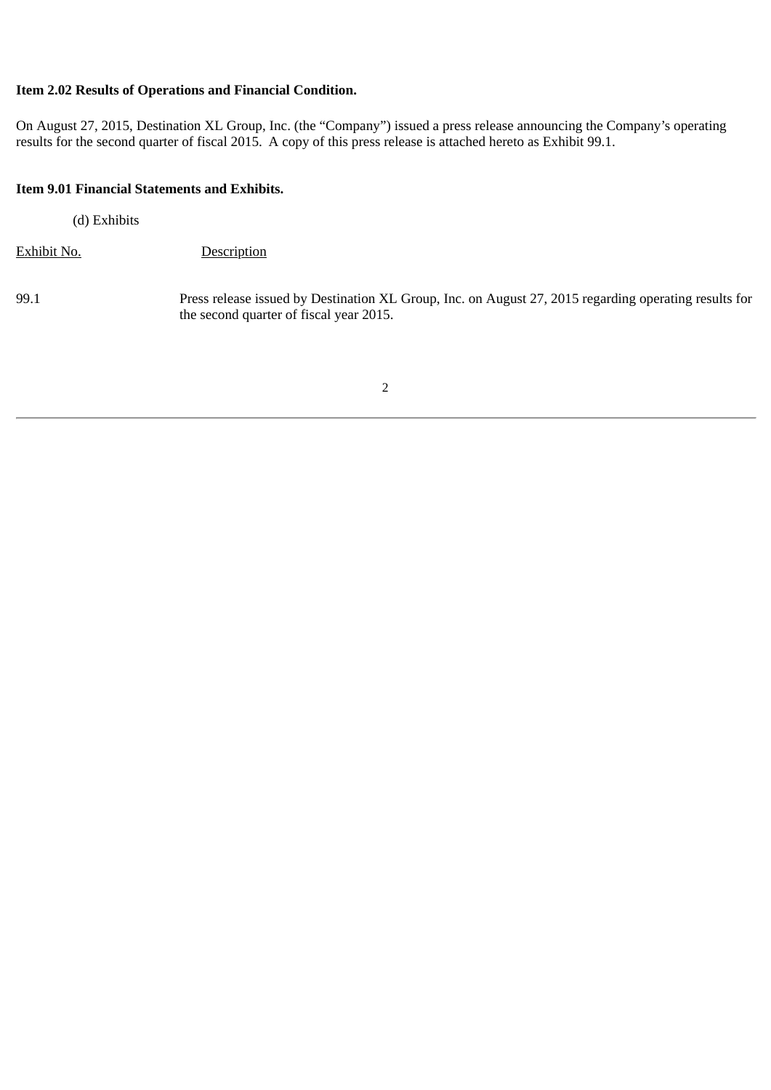# **Item 2.02 Results of Operations and Financial Condition.**

On August 27, 2015, Destination XL Group, Inc. (the "Company") issued a press release announcing the Company's operating results for the second quarter of fiscal 2015. A copy of this press release is attached hereto as Exhibit 99.1.

#### **Item 9.01 Financial Statements and Exhibits.**

(d) Exhibits

Exhibit No. Description

99.1 Press release issued by Destination XL Group, Inc. on August 27, 2015 regarding operating results for the second quarter of fiscal year 2015.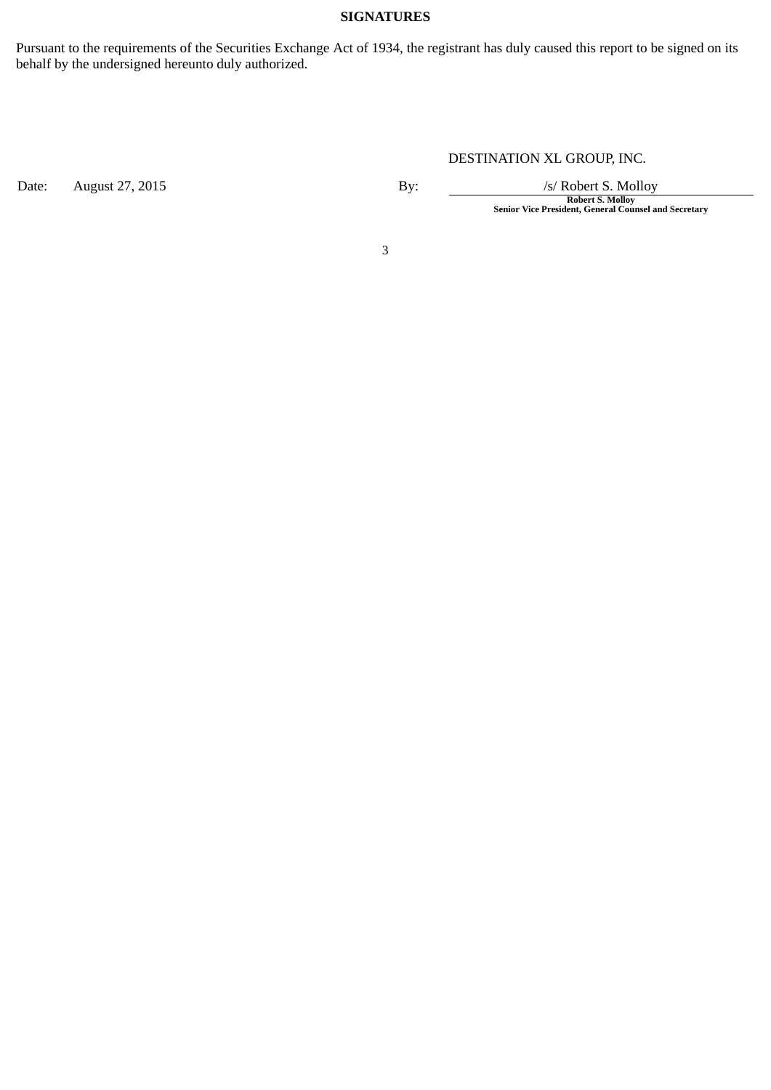# **SIGNATURES**

Pursuant to the requirements of the Securities Exchange Act of 1934, the registrant has duly caused this report to be signed on its behalf by the undersigned hereunto duly authorized.

Date: August 27, 2015 **By:** By: */s/ Robert S. Molloy* 

DESTINATION XL GROUP, INC.

**Robert S. Molloy Senior Vice President, General Counsel and Secretary**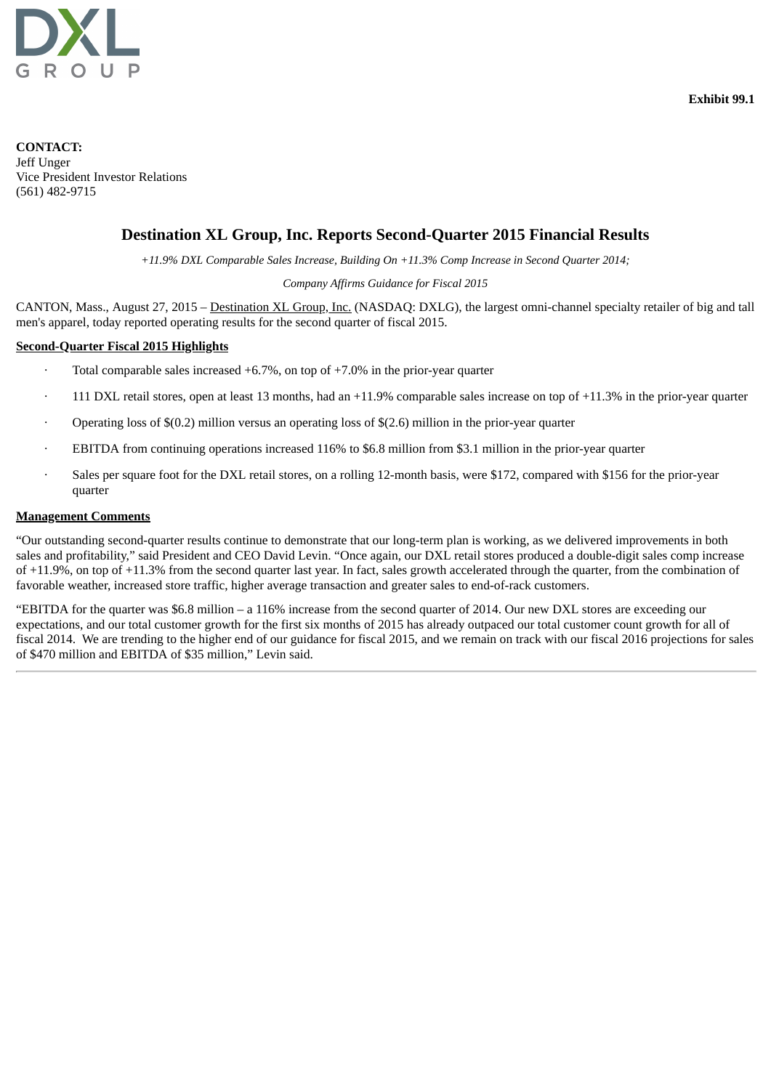

**CONTACT:** Jeff Unger Vice President Investor Relations (561) 482-9715

# **Destination XL Group, Inc. Reports Second-Quarter 2015 Financial Results**

*+11.9% DXL Comparable Sales Increase, Building On +11.3% Comp Increase in Second Quarter 2014;*

#### *Company Affirms Guidance for Fiscal 2015*

CANTON, Mass., August 27, 2015 – Destination XL Group, Inc. (NASDAQ: DXLG), the largest omni-channel specialty retailer of big and tall men's apparel, today reported operating results for the second quarter of fiscal 2015.

#### **Second-Quarter Fiscal 2015 Highlights**

- Total comparable sales increased  $+6.7\%$ , on top of  $+7.0\%$  in the prior-year quarter
- 111 DXL retail stores, open at least 13 months, had an  $+11.9\%$  comparable sales increase on top of  $+11.3\%$  in the prior-year quarter
- Operating loss of \$(0.2) million versus an operating loss of \$(2.6) million in the prior-year quarter
- EBITDA from continuing operations increased 116% to \$6.8 million from \$3.1 million in the prior-year quarter
- · Sales per square foot for the DXL retail stores, on a rolling 12-month basis, were \$172, compared with \$156 for the prior-year quarter

#### **Management Comments**

"Our outstanding second-quarter results continue to demonstrate that our long-term plan is working, as we delivered improvements in both sales and profitability," said President and CEO David Levin. "Once again, our DXL retail stores produced a double-digit sales comp increase of +11.9%, on top of +11.3% from the second quarter last year. In fact, sales growth accelerated through the quarter, from the combination of favorable weather, increased store traffic, higher average transaction and greater sales to end-of-rack customers.

"EBITDA for the quarter was \$6.8 million – a 116% increase from the second quarter of 2014. Our new DXL stores are exceeding our expectations, and our total customer growth for the first six months of 2015 has already outpaced our total customer count growth for all of fiscal 2014. We are trending to the higher end of our guidance for fiscal 2015, and we remain on track with our fiscal 2016 projections for sales of \$470 million and EBITDA of \$35 million," Levin said.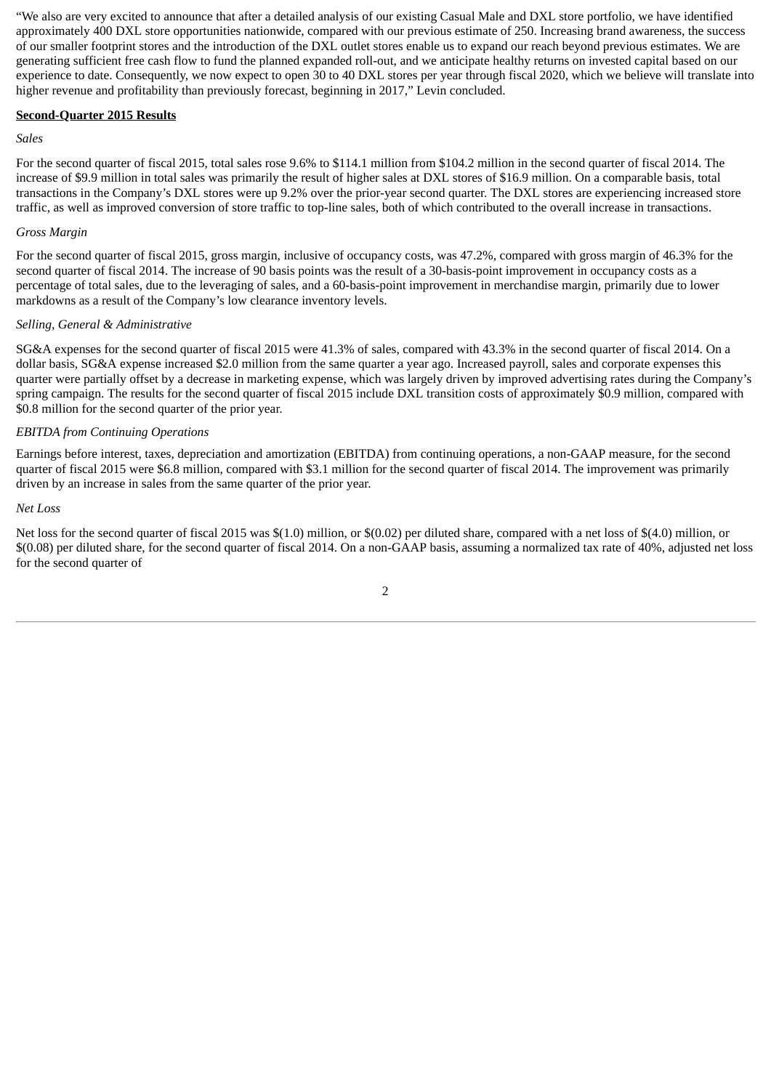"We also are very excited to announce that after a detailed analysis of our existing Casual Male and DXL store portfolio, we have identified approximately 400 DXL store opportunities nationwide, compared with our previous estimate of 250. Increasing brand awareness, the success of our smaller footprint stores and the introduction of the DXL outlet stores enable us to expand our reach beyond previous estimates. We are generating sufficient free cash flow to fund the planned expanded roll-out, and we anticipate healthy returns on invested capital based on our experience to date. Consequently, we now expect to open 30 to 40 DXL stores per year through fiscal 2020, which we believe will translate into higher revenue and profitability than previously forecast, beginning in 2017," Levin concluded.

#### **Second-Quarter 2015 Results**

#### *Sales*

For the second quarter of fiscal 2015, total sales rose 9.6% to \$114.1 million from \$104.2 million in the second quarter of fiscal 2014. The increase of \$9.9 million in total sales was primarily the result of higher sales at DXL stores of \$16.9 million. On a comparable basis, total transactions in the Company's DXL stores were up 9.2% over the prior-year second quarter. The DXL stores are experiencing increased store traffic, as well as improved conversion of store traffic to top-line sales, both of which contributed to the overall increase in transactions.

#### *Gross Margin*

For the second quarter of fiscal 2015, gross margin, inclusive of occupancy costs, was 47.2%, compared with gross margin of 46.3% for the second quarter of fiscal 2014. The increase of 90 basis points was the result of a 30-basis-point improvement in occupancy costs as a percentage of total sales, due to the leveraging of sales, and a 60-basis-point improvement in merchandise margin, primarily due to lower markdowns as a result of the Company's low clearance inventory levels.

#### *Selling, General & Administrative*

SG&A expenses for the second quarter of fiscal 2015 were 41.3% of sales, compared with 43.3% in the second quarter of fiscal 2014. On a dollar basis, SG&A expense increased \$2.0 million from the same quarter a year ago. Increased payroll, sales and corporate expenses this quarter were partially offset by a decrease in marketing expense, which was largely driven by improved advertising rates during the Company's spring campaign. The results for the second quarter of fiscal 2015 include DXL transition costs of approximately \$0.9 million, compared with \$0.8 million for the second quarter of the prior year.

#### *EBITDA from Continuing Operations*

Earnings before interest, taxes, depreciation and amortization (EBITDA) from continuing operations, a non-GAAP measure, for the second quarter of fiscal 2015 were \$6.8 million, compared with \$3.1 million for the second quarter of fiscal 2014. The improvement was primarily driven by an increase in sales from the same quarter of the prior year.

#### *Net Loss*

Net loss for the second quarter of fiscal 2015 was \$(1.0) million, or \$(0.02) per diluted share, compared with a net loss of \$(4.0) million, or \$(0.08) per diluted share, for the second quarter of fiscal 2014. On a non-GAAP basis, assuming a normalized tax rate of 40%, adjusted net loss for the second quarter of

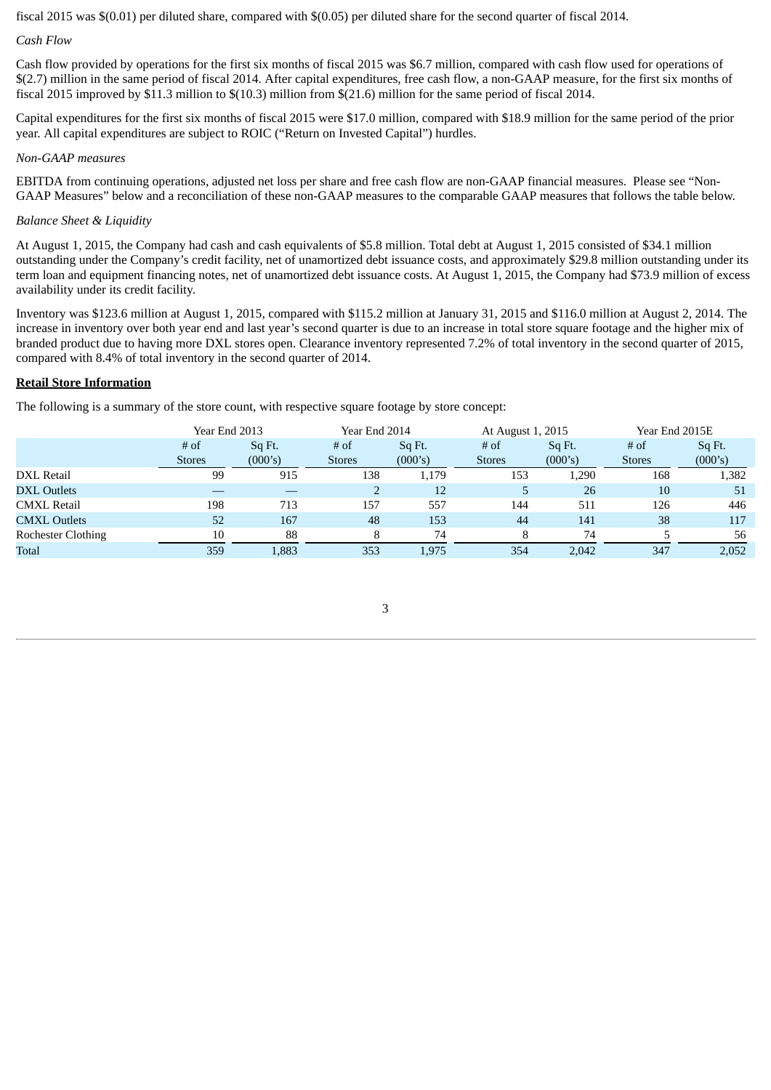fiscal 2015 was \$(0.01) per diluted share, compared with \$(0.05) per diluted share for the second quarter of fiscal 2014.

#### *Cash Flow*

Cash flow provided by operations for the first six months of fiscal 2015 was \$6.7 million, compared with cash flow used for operations of \$(2.7) million in the same period of fiscal 2014. After capital expenditures, free cash flow, a non-GAAP measure, for the first six months of fiscal 2015 improved by \$11.3 million to \$(10.3) million from \$(21.6) million for the same period of fiscal 2014.

Capital expenditures for the first six months of fiscal 2015 were \$17.0 million, compared with \$18.9 million for the same period of the prior year. All capital expenditures are subject to ROIC ("Return on Invested Capital") hurdles.

#### *Non-GAAP measures*

EBITDA from continuing operations, adjusted net loss per share and free cash flow are non-GAAP financial measures. Please see "Non-GAAP Measures" below and a reconciliation of these non-GAAP measures to the comparable GAAP measures that follows the table below.

### *Balance Sheet & Liquidity*

At August 1, 2015, the Company had cash and cash equivalents of \$5.8 million. Total debt at August 1, 2015 consisted of \$34.1 million outstanding under the Company's credit facility, net of unamortized debt issuance costs, and approximately \$29.8 million outstanding under its term loan and equipment financing notes, net of unamortized debt issuance costs. At August 1, 2015, the Company had \$73.9 million of excess availability under its credit facility.

Inventory was \$123.6 million at August 1, 2015, compared with \$115.2 million at January 31, 2015 and \$116.0 million at August 2, 2014. The increase in inventory over both year end and last year's second quarter is due to an increase in total store square footage and the higher mix of branded product due to having more DXL stores open. Clearance inventory represented 7.2% of total inventory in the second quarter of 2015, compared with 8.4% of total inventory in the second quarter of 2014.

#### **Retail Store Information**

The following is a summary of the store count, with respective square footage by store concept:

|                           | Year End 2013           |                   | Year End 2014         |                   | At August 1, 2015     |                   | Year End 2015E          |                   |  |
|---------------------------|-------------------------|-------------------|-----------------------|-------------------|-----------------------|-------------------|-------------------------|-------------------|--|
|                           | $#$ of<br><b>Stores</b> | Sq Ft.<br>(000's) | # of<br><b>Stores</b> | Sq Ft.<br>(000's) | # of<br><b>Stores</b> | Sq Ft.<br>(000's) | $#$ of<br><b>Stores</b> | Sq Ft.<br>(000's) |  |
| DXL Retail                | 99                      | 915               | 138                   | 1,179             | 153                   | 1,290             | 168                     | 1,382             |  |
| <b>DXL Outlets</b>        |                         |                   |                       | 12                | 5.                    | 26                | 10                      | 51                |  |
| <b>CMXL Retail</b>        | 198                     | 713               | 157                   | 557               | 144                   | 511               | 126                     | 446               |  |
| <b>CMXL Outlets</b>       | 52                      | 167               | 48                    | 153               | 44                    | 141               | 38                      | 117               |  |
| <b>Rochester Clothing</b> | 10                      | 88                | 8                     | 74                |                       | 74                |                         | 56                |  |
| Total                     | 359                     | L,883             | 353                   | 1,975             | 354                   | 2,042             | 347                     | 2,052             |  |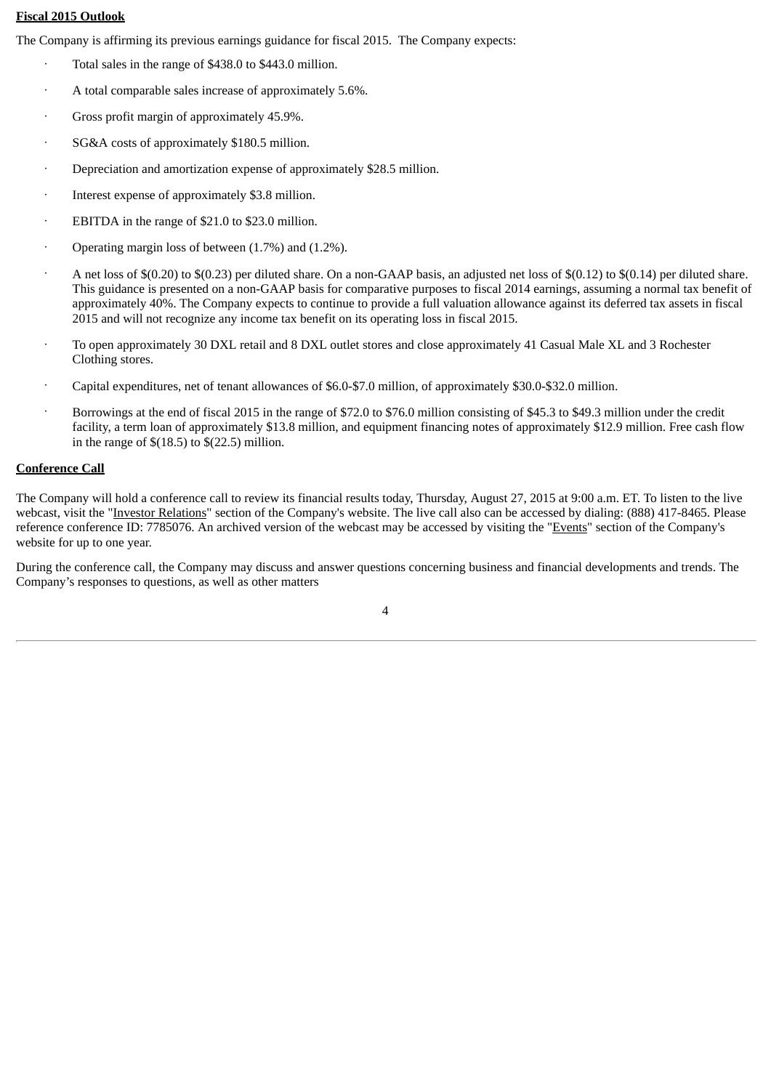# **Fiscal 2015 Outlook**

The Company is affirming its previous earnings guidance for fiscal 2015. The Company expects:

- Total sales in the range of \$438.0 to \$443.0 million.
- · A total comparable sales increase of approximately 5.6%.
- Gross profit margin of approximately 45.9%.
- SG&A costs of approximately \$180.5 million.
- Depreciation and amortization expense of approximately \$28.5 million.
- · Interest expense of approximately \$3.8 million.
- · EBITDA in the range of \$21.0 to \$23.0 million.
- Operating margin loss of between (1.7%) and (1.2%).
- · A net loss of \$(0.20) to \$(0.23) per diluted share. On a non-GAAP basis, an adjusted net loss of \$(0.12) to \$(0.14) per diluted share. This guidance is presented on a non-GAAP basis for comparative purposes to fiscal 2014 earnings, assuming a normal tax benefit of approximately 40%. The Company expects to continue to provide a full valuation allowance against its deferred tax assets in fiscal 2015 and will not recognize any income tax benefit on its operating loss in fiscal 2015.
- · To open approximately 30 DXL retail and 8 DXL outlet stores and close approximately 41 Casual Male XL and 3 Rochester Clothing stores.
- · Capital expenditures, net of tenant allowances of \$6.0-\$7.0 million, of approximately \$30.0-\$32.0 million.
- · Borrowings at the end of fiscal 2015 in the range of \$72.0 to \$76.0 million consisting of \$45.3 to \$49.3 million under the credit facility, a term loan of approximately \$13.8 million, and equipment financing notes of approximately \$12.9 million. Free cash flow in the range of  $$(18.5)$  to  $$(22.5)$  million.

#### **Conference Call**

The Company will hold a conference call to review its financial results today, Thursday, August 27, 2015 at 9:00 a.m. ET. To listen to the live webcast, visit the "Investor Relations" section of the Company's website. The live call also can be accessed by dialing: (888) 417-8465. Please reference conference ID: 7785076. An archived version of the webcast may be accessed by visiting the "Events" section of the Company's website for up to one year.

During the conference call, the Company may discuss and answer questions concerning business and financial developments and trends. The Company's responses to questions, as well as other matters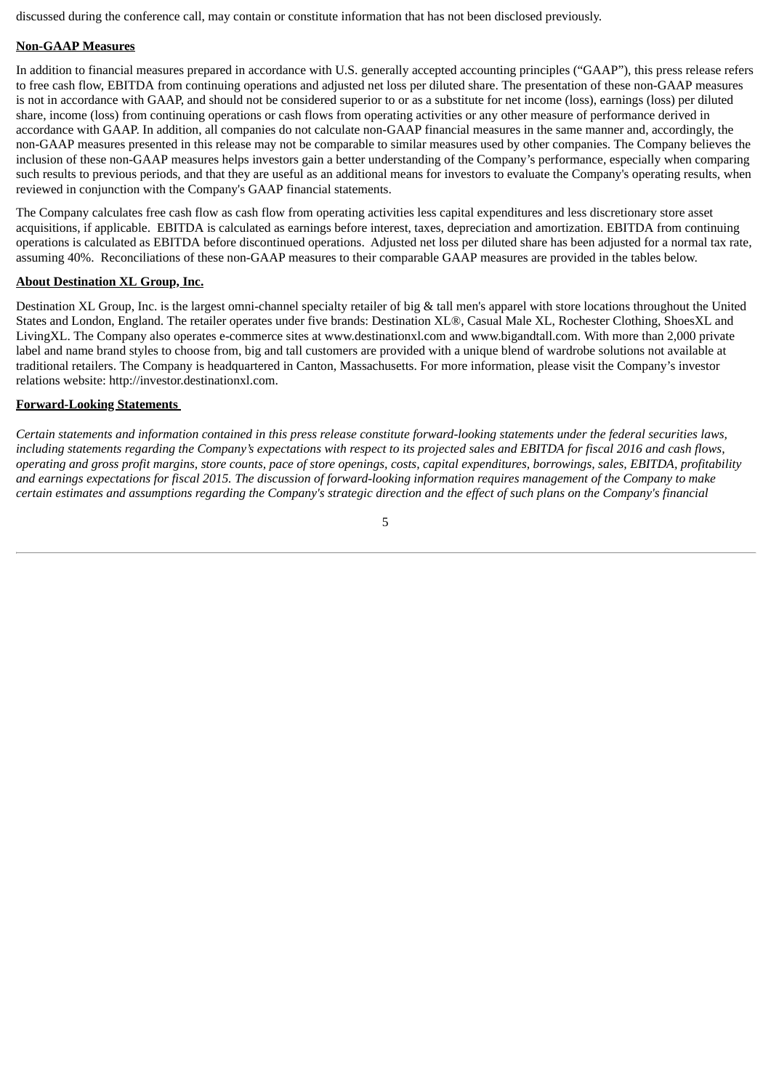discussed during the conference call, may contain or constitute information that has not been disclosed previously.

# **Non-GAAP Measures**

In addition to financial measures prepared in accordance with U.S. generally accepted accounting principles ("GAAP"), this press release refers to free cash flow, EBITDA from continuing operations and adjusted net loss per diluted share. The presentation of these non-GAAP measures is not in accordance with GAAP, and should not be considered superior to or as a substitute for net income (loss), earnings (loss) per diluted share, income (loss) from continuing operations or cash flows from operating activities or any other measure of performance derived in accordance with GAAP. In addition, all companies do not calculate non-GAAP financial measures in the same manner and, accordingly, the non-GAAP measures presented in this release may not be comparable to similar measures used by other companies. The Company believes the inclusion of these non-GAAP measures helps investors gain a better understanding of the Company's performance, especially when comparing such results to previous periods, and that they are useful as an additional means for investors to evaluate the Company's operating results, when reviewed in conjunction with the Company's GAAP financial statements.

The Company calculates free cash flow as cash flow from operating activities less capital expenditures and less discretionary store asset acquisitions, if applicable. EBITDA is calculated as earnings before interest, taxes, depreciation and amortization. EBITDA from continuing operations is calculated as EBITDA before discontinued operations. Adjusted net loss per diluted share has been adjusted for a normal tax rate, assuming 40%. Reconciliations of these non-GAAP measures to their comparable GAAP measures are provided in the tables below.

#### **About Destination XL Group, Inc.**

Destination XL Group, Inc. is the largest omni-channel specialty retailer of big & tall men's apparel with store locations throughout the United States and London, England. The retailer operates under five brands: Destination XL®, Casual Male XL, Rochester Clothing, ShoesXL and LivingXL. The Company also operates e-commerce sites at www.destinationxl.com and www.bigandtall.com. With more than 2,000 private label and name brand styles to choose from, big and tall customers are provided with a unique blend of wardrobe solutions not available at traditional retailers. The Company is headquartered in Canton, Massachusetts. For more information, please visit the Company's investor relations website: http://investor.destinationxl.com.

#### **Forward-Looking Statements**

Certain statements and information contained in this press release constitute forward-looking statements under the federal securities laws, including statements regarding the Company's expectations with respect to its projected sales and EBITDA for fiscal 2016 and cash flows, operating and gross profit margins, store counts, pace of store openings, costs, capital expenditures, borrowings, sales, EBITDA, profitability and earnings expectations for fiscal 2015. The discussion of forward-looking information requires management of the Company to make certain estimates and assumptions regarding the Company's strategic direction and the effect of such plans on the Company's financial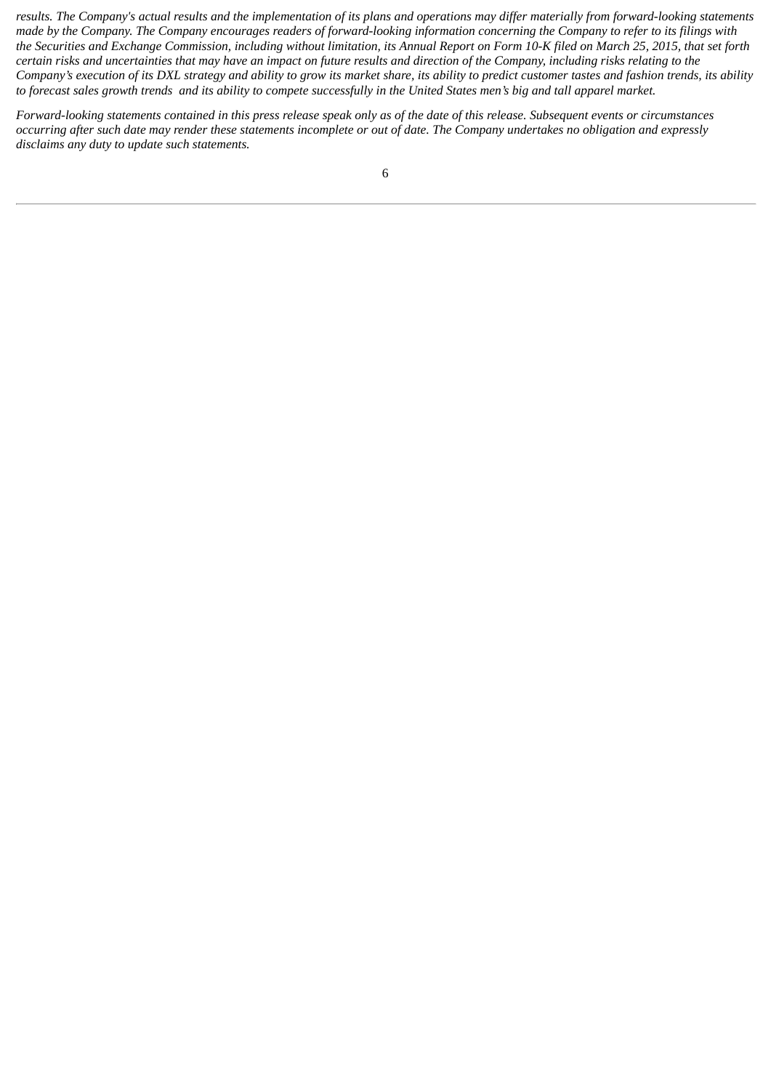results. The Company's actual results and the implementation of its plans and operations may differ materially from forward-looking statements made by the Company. The Company encourages readers of forward-looking information concerning the Company to refer to its filings with the Securities and Exchange Commission, including without limitation, its Annual Report on Form 10-K filed on March 25, 2015, that set forth certain risks and uncertainties that may have an impact on future results and direction of the Company, including risks relating to the Company's execution of its DXL strategy and ability to grow its market share, its ability to predict customer tastes and fashion trends, its ability to forecast sales growth trends and its ability to compete successfully in the United States men's big and tall apparel market.

Forward-looking statements contained in this press release speak only as of the date of this release. Subsequent events or circumstances occurring after such date may render these statements incomplete or out of date. The Company undertakes no obligation and expressly *disclaims any duty to update such statements.*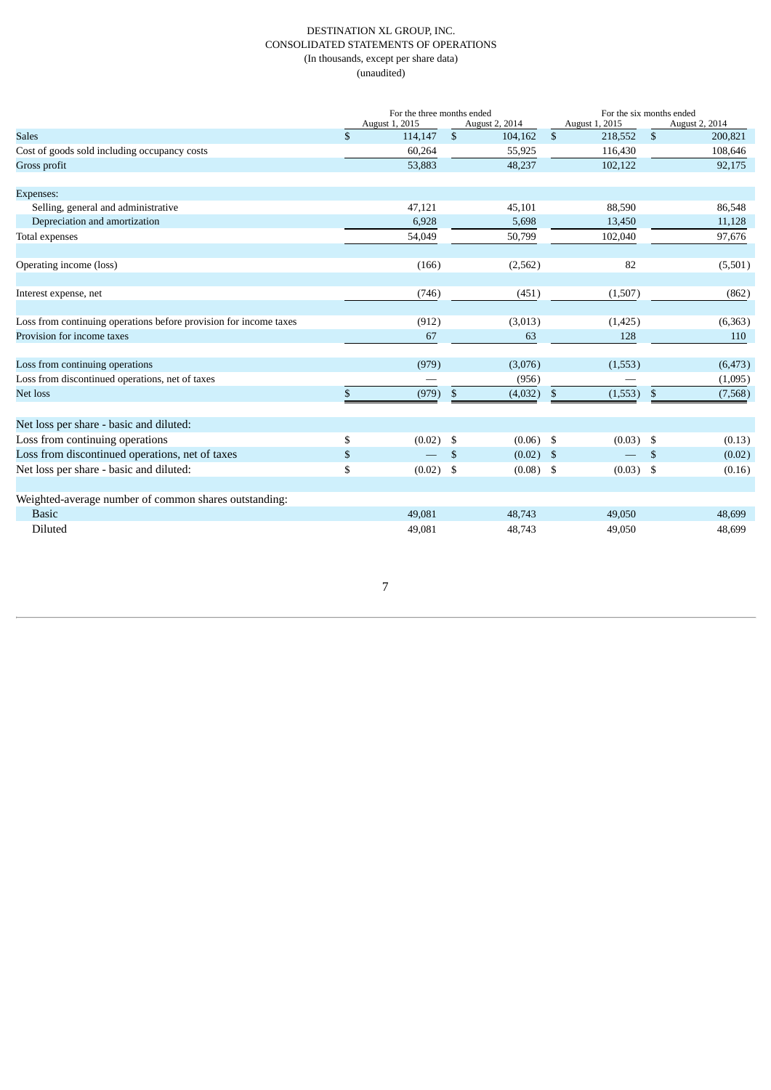#### DESTINATION XL GROUP, INC. CONSOLIDATED STATEMENTS OF OPERATIONS (In thousands, except per share data) (unaudited)

|                                                                   | For the three months ended<br>August 1, 2015<br>August 2, 2014 |         |                | For the six months ended<br>August 1, 2015 |                |             |                         |                           |
|-------------------------------------------------------------------|----------------------------------------------------------------|---------|----------------|--------------------------------------------|----------------|-------------|-------------------------|---------------------------|
| <b>Sales</b>                                                      | \$                                                             | 114,147 | $\mathfrak{S}$ | 104,162                                    | \$             | 218,552     | \$                      | August 2, 2014<br>200,821 |
| Cost of goods sold including occupancy costs                      |                                                                | 60,264  |                | 55,925                                     |                | 116,430     |                         | 108,646                   |
| Gross profit                                                      |                                                                | 53,883  |                | 48,237                                     |                | 102,122     |                         | 92,175                    |
|                                                                   |                                                                |         |                |                                            |                |             |                         |                           |
| Expenses:                                                         |                                                                |         |                |                                            |                |             |                         |                           |
| Selling, general and administrative                               |                                                                | 47,121  |                | 45,101                                     |                | 88,590      |                         | 86,548                    |
| Depreciation and amortization                                     |                                                                | 6,928   |                | 5,698                                      |                | 13,450      |                         | 11,128                    |
| Total expenses                                                    |                                                                | 54,049  |                | 50,799                                     |                | 102,040     |                         | 97,676                    |
| Operating income (loss)                                           |                                                                | (166)   |                | (2,562)                                    |                | 82          |                         | (5,501)                   |
| Interest expense, net                                             |                                                                | (746)   |                | (451)                                      |                | (1,507)     |                         | (862)                     |
|                                                                   |                                                                |         |                |                                            |                |             |                         |                           |
| Loss from continuing operations before provision for income taxes |                                                                | (912)   |                | (3,013)                                    |                | (1, 425)    |                         | (6,363)                   |
| Provision for income taxes                                        |                                                                | 67      |                | 63                                         |                | 128         |                         | 110                       |
| Loss from continuing operations                                   |                                                                | (979)   |                | (3,076)                                    |                | (1, 553)    |                         | (6, 473)                  |
| Loss from discontinued operations, net of taxes                   |                                                                |         |                | (956)                                      |                |             |                         | (1,095)                   |
| Net loss                                                          | \$                                                             | (979)   | \$             | (4,032)                                    | $\mathfrak{S}$ | (1,553)     | $\mathfrak{F}$          | (7,568)                   |
|                                                                   |                                                                |         |                |                                            |                |             |                         |                           |
| Net loss per share - basic and diluted:                           |                                                                |         |                |                                            |                |             |                         |                           |
| Loss from continuing operations                                   | \$                                                             | (0.02)  | -\$            | $(0.06)$ \$                                |                | $(0.03)$ \$ |                         | (0.13)                    |
| Loss from discontinued operations, net of taxes                   | \$                                                             |         | $\mathfrak{S}$ | $(0.02)$ \$                                |                |             | $\mathbf{\mathfrak{S}}$ | (0.02)                    |
| Net loss per share - basic and diluted:                           | \$                                                             | (0.02)  | \$             | $(0.08)$ \$                                |                | $(0.03)$ \$ |                         | (0.16)                    |
| Weighted-average number of common shares outstanding:             |                                                                |         |                |                                            |                |             |                         |                           |
| <b>Basic</b>                                                      |                                                                | 49,081  |                | 48,743                                     |                | 49,050      |                         | 48,699                    |
| Diluted                                                           |                                                                | 49,081  |                | 48,743                                     |                | 49,050      |                         | 48,699                    |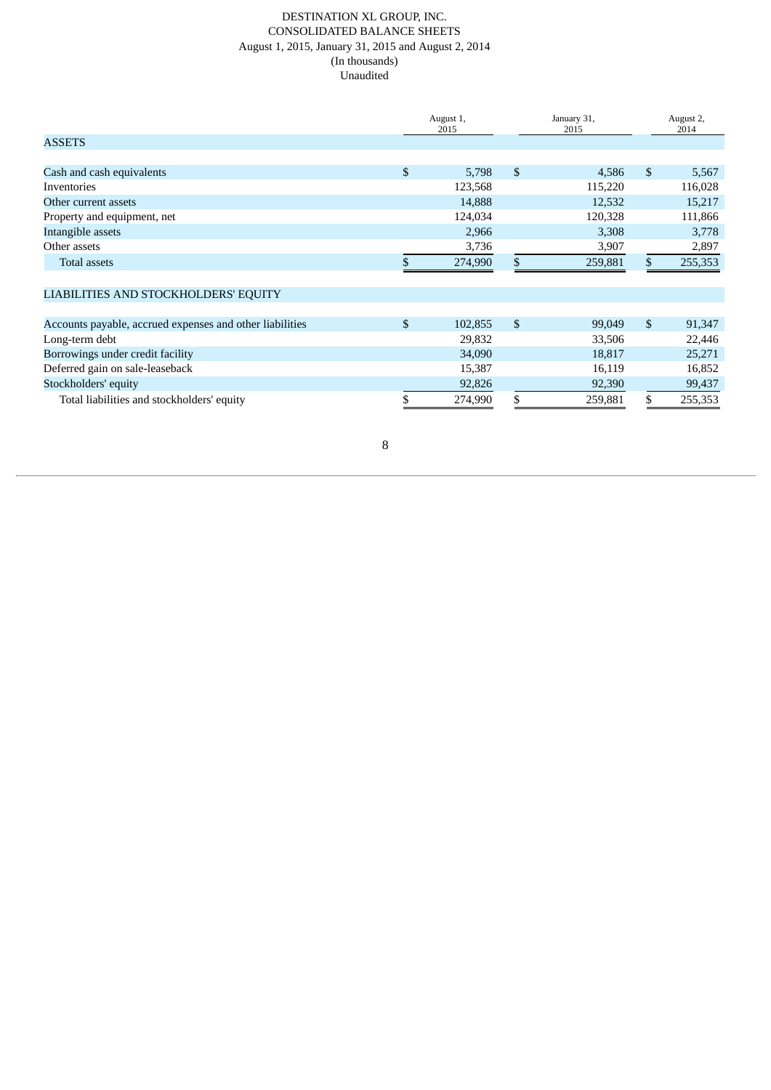#### DESTINATION XL GROUP, INC. CONSOLIDATED BALANCE SHEETS August 1, 2015, January 31, 2015 and August 2, 2014 (In thousands) Unaudited

|                                                          | January 31,<br>August 1,<br>2015<br>2015 |         | August 2,<br>2014 |               |
|----------------------------------------------------------|------------------------------------------|---------|-------------------|---------------|
| <b>ASSETS</b>                                            |                                          |         |                   |               |
|                                                          |                                          |         |                   |               |
| Cash and cash equivalents                                | $\mathfrak{S}$                           | 5,798   | \$<br>4,586       | \$<br>5,567   |
| Inventories                                              |                                          | 123,568 | 115,220           | 116,028       |
| Other current assets                                     |                                          | 14,888  | 12,532            | 15,217        |
| Property and equipment, net                              |                                          | 124,034 | 120,328           | 111,866       |
| Intangible assets                                        |                                          | 2,966   | 3,308             | 3,778         |
| Other assets                                             |                                          | 3,736   | 3,907             | 2,897         |
| <b>Total assets</b>                                      |                                          | 274,990 | \$<br>259,881     | \$<br>255,353 |
| LIABILITIES AND STOCKHOLDERS' EQUITY                     |                                          |         |                   |               |
|                                                          |                                          |         |                   |               |
| Accounts payable, accrued expenses and other liabilities | \$                                       | 102,855 | \$<br>99,049      | \$<br>91,347  |
| Long-term debt                                           |                                          | 29,832  | 33,506            | 22,446        |
| Borrowings under credit facility                         |                                          | 34,090  | 18,817            | 25,271        |
| Deferred gain on sale-leaseback                          |                                          | 15,387  | 16,119            | 16,852        |
| Stockholders' equity                                     |                                          | 92,826  | 92,390            | 99,437        |
| Total liabilities and stockholders' equity               |                                          | 274,990 | \$<br>259,881     | \$<br>255,353 |